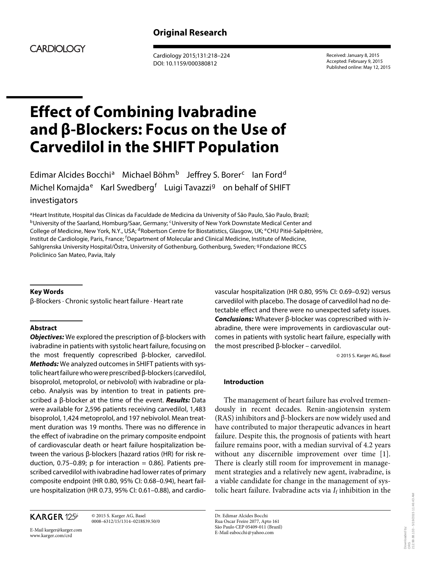# **Original Research**



 Cardiology 2015;131:218–224 DOI: 10.1159/000380812

 Received: January 8, 2015 Accepted: February 9, 2015 Published online: May 12, 2015

# **Effect of Combining Ivabradine and β-Blockers: Focus on the Use of Carvedilol in the SHIFT Population**

Edimar Alcides Bocchi<sup>a</sup> Michael Böhm<sup>b</sup> Jeffrey S. Borer<sup>c</sup> lan Ford<sup>d</sup> Michel Komajda<sup>e</sup> Karl Swedberg<sup>f</sup> Luigi Tavazzi<sup>g</sup> on behalf of SHIFT investigators

<sup>a</sup> Heart Institute, Hospital das Clínicas da Faculdade de Medicina da University of São Paulo, São Paulo, Brazil; b University of the Saarland, Homburg/Saar, Germany; <sup>c</sup> University of New York Downstate Medical Center and College of Medicine, New York, N.Y., USA; <sup>d</sup>Robertson Centre for Biostatistics, Glasgow, UK; <sup>e</sup> CHU Pitié-Salpêtrière, Institut de Cardiologie, Paris, France; <sup>f</sup> Department of Molecular and Clinical Medicine, Institute of Medicine, Sahlgrenska University Hospital/Östra, University of Gothenburg, Gothenburg, Sweden; <sup>g</sup> Fondazione IRCCS Policlinico San Mateo, Pavia, Italy

# **Key Words**

β-Blockers · Chronic systolic heart failure · Heart rate

# **Abstract**

**Objectives:** We explored the prescription of β-blockers with ivabradine in patients with systolic heart failure, focusing on the most frequently coprescribed β-blocker, carvedilol. **Methods:** We analyzed outcomes in SHIFT patients with systolic heart failure who were prescribed β-blockers (carvedilol, bisoprolol, metoprolol, or nebivolol) with ivabradine or placebo. Analysis was by intention to treat in patients prescribed a β-blocker at the time of the event. **Results:** Data were available for 2,596 patients receiving carvedilol, 1,483 bisoprolol, 1,424 metoprolol, and 197 nebivolol. Mean treatment duration was 19 months. There was no difference in the effect of ivabradine on the primary composite endpoint of cardiovascular death or heart failure hospitalization between the various β-blockers [hazard ratios (HR) for risk reduction, 0.75–0.89; p for interaction  $= 0.86$ ]. Patients prescribed carvedilol with ivabradine had lower rates of primary composite endpoint (HR 0.80, 95% CI: 0.68–0.94), heart failure hospitalization (HR 0.73, 95% CI: 0.61–0.88), and cardio-

# **KARGER 125**

 © 2015 S. Karger AG, Basel 0008–6312/15/1314–0218\$39.50/0

E-Mail karger@karger.com www.karger.com/crd

vascular hospitalization (HR 0.80, 95% CI: 0.69–0.92) versus carvedilol with placebo. The dosage of carvedilol had no detectable effect and there were no unexpected safety issues. **Conclusions:** Whatever β-blocker was coprescribed with ivabradine, there were improvements in cardiovascular outcomes in patients with systolic heart failure, especially with the most prescribed β-blocker – carvedilol.

© 2015 S. Karger AG, Basel

### **Introduction**

 The management of heart failure has evolved tremendously in recent decades. Renin-angiotensin system (RAS) inhibitors and β-blockers are now widely used and have contributed to major therapeutic advances in heart failure. Despite this, the prognosis of patients with heart failure remains poor, with a median survival of 4.2 years without any discernible improvement over time [1]. There is clearly still room for improvement in management strategies and a relatively new agent, ivabradine, is a viable candidate for change in the management of systolic heart failure. Ivabradine acts via  $I_f$  inhibition in the

 Dr. Edimar Alcides Bocchi Rua Oscar Freire 2077, Apto 161 São Paulo CEP 05409-011 (Brazil) E-Mail eabocchi @ yahoo.com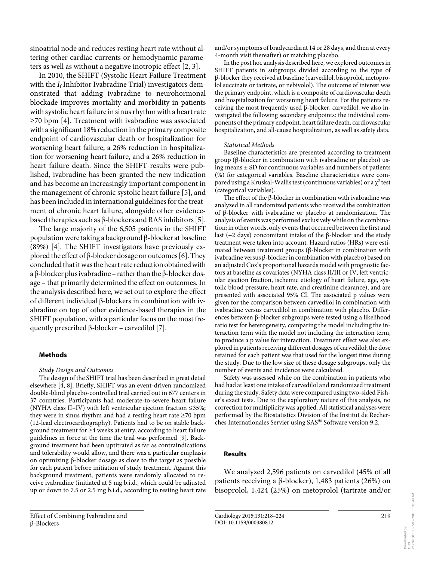sinoatrial node and reduces resting heart rate without altering other cardiac currents or hemodynamic parameters as well as without a negative inotropic effect [2, 3] .

 In 2010, the SHIFT (Systolic Heart Failure Treatment with the *I<sub>f</sub>* Inhibitor Ivabradine Trial) investigators demonstrated that adding ivabradine to neurohormonal blockade improves mortality and morbidity in patients with systolic heart failure in sinus rhythm with a heart rate  $\geq$ 70 bpm [4]. Treatment with ivabradine was associated with a significant 18% reduction in the primary composite endpoint of cardiovascular death or hospitalization for worsening heart failure, a 26% reduction in hospitalization for worsening heart failure, and a 26% reduction in heart failure death. Since the SHIFT results were published, ivabradine has been granted the new indication and has become an increasingly important component in the management of chronic systolic heart failure [5], and has been included in international guidelines for the treatment of chronic heart failure, alongside other evidencebased therapies such as β-blockers and RAS inhibitors [5] .

 The large majority of the 6,505 patients in the SHIFT population were taking a background β-blocker at baseline (89%) [4]. The SHIFT investigators have previously explored the effect of β-blocker dosage on outcomes [6]. They concluded that it was the heart rate reduction obtained with a β-blocker plus ivabradine – rather than the β-blocker dosage – that primarily determined the effect on outcomes. In the analysis described here, we set out to explore the effect of different individual β-blockers in combination with ivabradine on top of other evidence-based therapies in the SHIFT population, with a particular focus on the most frequently prescribed  $\beta$ -blocker – carvedilol [7].

#### **Methods**

#### *Study Design and Outcomes*

 The design of the SHIFT trial has been described in great detail elsewhere [4, 8]. Briefly, SHIFT was an event-driven randomized double-blind placebo-controlled trial carried out in 677 centers in 37 countries. Participants had moderate-to-severe heart failure (NYHA class II–IV) with left ventricular ejection fraction  $\leq 35\%$ ; they were in sinus rhythm and had a resting heart rate  $\geq 70$  bpm (12-lead electrocardiography). Patients had to be on stable background treatment for ≥4 weeks at entry, according to heart failure guidelines in force at the time the trial was performed [9]. Background treatment had been uptitrated as far as contraindications and tolerability would allow, and there was a particular emphasis on optimizing β-blocker dosage as close to the target as possible for each patient before initiation of study treatment. Against this background treatment, patients were randomly allocated to receive ivabradine (initiated at 5 mg b.i.d., which could be adjusted up or down to 7.5 or 2.5 mg b.i.d., according to resting heart rate

and/or symptoms of bradycardia at 14 or 28 days, and then at every 4-month visit thereafter) or matching placebo.

 In the post hoc analysis described here, we explored outcomes in SHIFT patients in subgroups divided according to the type of β-blocker they received at baseline (carvedilol, bisoprolol, metoprolol succinate or tartrate, or nebivolol). The outcome of interest was the primary endpoint, which is a composite of cardiovascular death and hospitalization for worsening heart failure. For the patients receiving the most frequently used β-blocker, carvedilol, we also investigated the following secondary endpoints: the individual components of the primary endpoint, heart failure death, cardiovascular hospitalization, and all-cause hospitalization, as well as safety data.

### *Statistical Methods*

 Baseline characteristics are presented according to treatment group (β-blocker in combination with ivabradine or placebo) using means ± SD for continuous variables and numbers of patients (%) for categorical variables. Baseline characteristics were compared using a Kruskal-Wallis test (continuous variables) or a  $\chi^2$  test (categorical variables).

 The effect of the β-blocker in combination with ivabradine was analyzed in all randomized patients who received the combination of β-blocker with ivabradine or placebo at randomization. The analysis of events was performed exclusively while on the combination; in other words, only events that occurred between the first and last (+2 days) concomitant intake of the β-blocker and the study treatment were taken into account. Hazard ratios (HRs) were estimated between treatment groups (β-blocker in combination with ivabradine versus β-blocker in combination with placebo) based on an adjusted Cox's proportional hazards model with prognostic factors at baseline as covariates (NYHA class II/III or IV, left ventricular ejection fraction, ischemic etiology of heart failure, age, systolic blood pressure, heart rate, and creatinine clearance), and are presented with associated 95% CI. The associated p values were given for the comparison between carvedilol in combination with ivabradine versus carvedilol in combination with placebo. Differences between β-blocker subgroups were tested using a likelihood ratio test for heterogeneity, comparing the model including the interaction term with the model not including the interaction term, to produce a p value for interaction. Treatment effect was also explored in patients receiving different dosages of carvedilol; the dose retained for each patient was that used for the longest time during the study. Due to the low size of these dosage subgroups, only the number of events and incidence were calculated.

 Safety was assessed while on the combination in patients who had had at least one intake of carvedilol and randomized treatment during the study. Safety data were compared using two-sided Fisher's exact tests. Due to the exploratory nature of this analysis, no correction for multiplicity was applied. All statistical analyses were performed by the Biostatistics Division of the Institut de Recherches Internationales Servier using SAS® Software version 9.2.

# **Results**

 We analyzed 2,596 patients on carvedilol (45% of all patients receiving a β-blocker), 1,483 patients (26%) on bisoprolol, 1,424 (25%) on metoprolol (tartrate and/or

Downloaded by: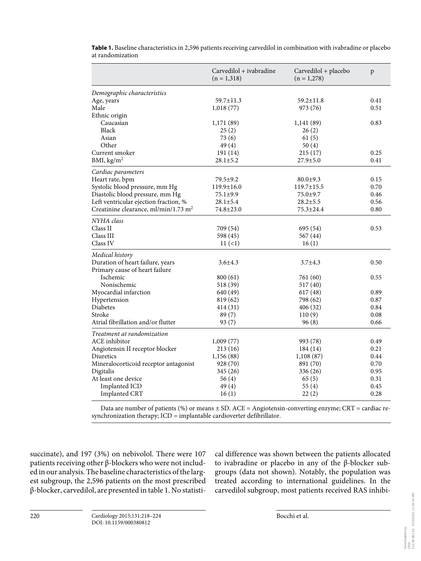|                                          | Carvedilol + ivabradine<br>$(n = 1,318)$ | Carvedilol + placebo<br>$(n = 1,278)$ | p    |
|------------------------------------------|------------------------------------------|---------------------------------------|------|
| Demographic characteristics              |                                          |                                       |      |
| Age, years                               | 59.7±11.3                                | $59.2 \pm 11.8$                       | 0.41 |
| Male                                     | 1,018(77)                                | 973 (76)                              | 0.51 |
| Ethnic origin                            |                                          |                                       |      |
| Caucasian                                | 1,171 (89)                               | 1,141(89)                             | 0.83 |
| <b>Black</b>                             | 25(2)                                    | 26(2)                                 |      |
| Asian                                    | 73 (6)                                   | 61(5)                                 |      |
| Other                                    | 49(4)                                    | 50(4)                                 |      |
| Current smoker                           | 191(14)                                  | 215 (17)                              | 0.25 |
| BMI, $\text{kg/m}^2$                     | $28.1 \pm 5.2$                           | $27.9 \pm 5.0$                        | 0.41 |
| Cardiac parameters                       |                                          |                                       |      |
| Heart rate, bpm                          | 79.5±9.2                                 | $80.0 \pm 9.3$                        | 0.15 |
| Systolic blood pressure, mm Hg           | 119.9±16.0                               | $119.7 \pm 15.5$                      | 0.70 |
| Diastolic blood pressure, mm Hg          | 75.1±9.9                                 | 75.0±9.7                              | 0.46 |
| Left ventricular ejection fraction, %    | $28.1 \pm 5.4$                           | $28.2 \pm 5.5$                        | 0.56 |
| Creatinine clearance, $ml/min/1.73$ $m2$ | 74.8±23.0                                | $75.3 \pm 24.4$                       | 0.80 |
| NYHA class                               |                                          |                                       |      |
| Class II                                 | 709 (54)                                 | 695 (54)                              | 0.53 |
| Class III                                | 598 (45)                                 | 567 (44)                              |      |
| Class IV                                 | 11(1)                                    | 16(1)                                 |      |
| Medical history                          |                                          |                                       |      |
| Duration of heart failure, years         | $3.6 \pm 4.3$                            | $3.7 + 4.3$                           | 0.50 |
| Primary cause of heart failure           |                                          |                                       |      |
| Ischemic                                 | 800(61)                                  | 761 (60)                              | 0.55 |
| Nonischemic                              | 518 (39)                                 | 517 (40)                              |      |
| Myocardial infarction                    | 640 (49)                                 | 617(48)                               | 0.89 |
| Hypertension                             | 819 (62)                                 | 798 (62)                              | 0.87 |
| Diabetes                                 | 414 (31)                                 | 406 (32)                              | 0.84 |
| Stroke                                   | 89(7)                                    | 110(9)                                | 0.08 |
| Atrial fibrillation and/or flutter       | 93(7)                                    | 96(8)                                 | 0.66 |
| Treatment at randomization               |                                          |                                       |      |
| ACE inhibitor                            | 1,009(77)                                | 993 (78)                              | 0.49 |
| Angiotensin II receptor blocker          | 213(16)                                  | 184 (14)                              | 0.21 |
| Diuretics                                | 1,156 (88)                               | 1,108(87)                             | 0.44 |
| Mineralocorticoid receptor antagonist    | 928 (70)                                 | 891 (70)                              | 0.70 |
| Digitalis                                | 345 (26)                                 | 336 (26)                              | 0.95 |
| At least one device                      | 56(4)                                    | 65(5)                                 | 0.31 |
| Implanted ICD                            | 49(4)                                    | 55(4)                                 | 0.45 |
| <b>Implanted CRT</b>                     | 16(1)                                    | 22(2)                                 | 0.28 |

 **Table 1.** Baseline characteristics in 2,596 patients receiving carvedilol in combination with ivabradine or placebo at randomization

 Data are number of patients (%) or means ± SD. ACE = Angiotensin-converting enzyme; CRT = cardiac resynchronization therapy; ICD = implantable cardioverter defibrillator.

succinate), and 197 (3%) on nebivolol. There were 107 patients receiving other β-blockers who were not included in our analysis. The baseline characteristics of the largest subgroup, the 2,596 patients on the most prescribed β-blocker, carvedilol, are presented in table 1 . No statisti-

cal difference was shown between the patients allocated to ivabradine or placebo in any of the β-blocker subgroups (data not shown). Notably, the population was treated according to international guidelines. In the carvedilol subgroup, most patients received RAS inhibi-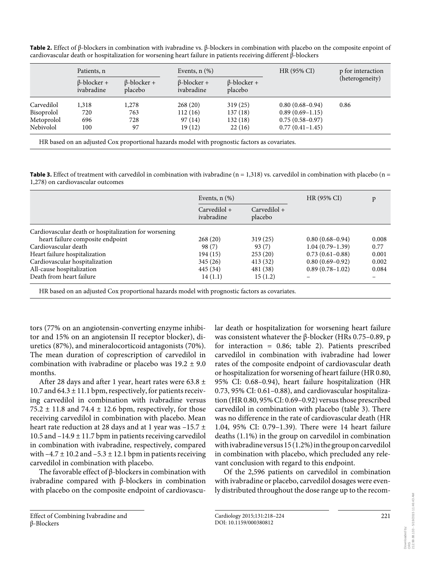**Table 2.** Effect of β-blockers in combination with ivabradine vs. β-blockers in combination with placebo on the composite enpoint of cardiovascular death or hospitalization for worsening heart failure in patients receiving different β-blockers

|            | Patients, n                      |                               | Events, $n$ $(\%)$               |                               | HR (95% CI)         | p for interaction |
|------------|----------------------------------|-------------------------------|----------------------------------|-------------------------------|---------------------|-------------------|
|            | $\beta$ -blocker +<br>ivabradine | $\beta$ -blocker +<br>placebo | $\beta$ -blocker +<br>ivabradine | $\beta$ -blocker +<br>placebo |                     | (heterogeneity)   |
| Carvedilol | 1,318                            | 1,278                         | 268(20)                          | 319(25)                       | $0.80(0.68 - 0.94)$ | 0.86              |
| Bisoprolol | 720                              | 763                           | 112(16)                          | 137(18)                       | $0.89(0.69-1.15)$   |                   |
| Metoprolol | 696                              | 728                           | 97(14)                           | 132(18)                       | $0.75(0.58-0.97)$   |                   |
| Nebivolol  | 100                              | 97                            | 19(12)                           | 22(16)                        | $0.77(0.41 - 1.45)$ |                   |

HR based on an adjusted Cox proportional hazards model with prognostic factors as covariates.

**Table 3.** Effect of treatment with carvedilol in combination with ivabradine  $(n = 1,318)$  vs. carvedilol in combination with placebo  $(n = 1,318)$ 1,278) on cardiovascular outcomes

|                                                       | Events, $n$ $(\%)$          |                          | HR (95% CI)         | p     |
|-------------------------------------------------------|-----------------------------|--------------------------|---------------------|-------|
|                                                       | $Carvediol +$<br>ivabradine | $Carvediol +$<br>placebo |                     |       |
| Cardiovascular death or hospitalization for worsening |                             |                          |                     |       |
| heart failure composite endpoint                      | 268(20)                     | 319(25)                  | $0.80(0.68 - 0.94)$ | 0.008 |
| Cardiovascular death                                  | 98(7)                       | 93(7)                    | $1.04(0.79-1.39)$   | 0.77  |
| Heart failure hospitalization                         | 194(15)                     | 253(20)                  | $0.73(0.61 - 0.88)$ | 0.001 |
| Cardiovascular hospitalization                        | 345(26)                     | 413(32)                  | $0.80(0.69 - 0.92)$ | 0.002 |
| All-cause hospitalization                             | 445 (34)                    | 481 (38)                 | $0.89(0.78-1.02)$   | 0.084 |
| Death from heart failure                              | 14(1.1)                     | 15(1.2)                  |                     |       |

HR based on an adjusted Cox proportional hazards model with prognostic factors as covariates.

tors (77% on an angiotensin-converting enzyme inhibitor and 15% on an angiotensin II receptor blocker), diuretics (87%), and mineralocorticoid antagonists (70%). The mean duration of coprescription of carvedilol in combination with ivabradine or placebo was  $19.2 \pm 9.0$ months.

After 28 days and after 1 year, heart rates were 63.8  $\pm$ 10.7 and  $64.3 \pm 11.1$  bpm, respectively, for patients receiving carvedilol in combination with ivabradine versus 75.2  $\pm$  11.8 and 74.4  $\pm$  12.6 bpm, respectively, for those receiving carvedilol in combination with placebo. Mean heart rate reduction at 28 days and at 1 year was –15.7 ± 10.5 and  $-14.9 \pm 11.7$  bpm in patients receiving carvedilol in combination with ivabradine, respectively, compared with  $-4.7 \pm 10.2$  and  $-5.3 \pm 12.1$  bpm in patients receiving carvedilol in combination with placebo.

The favorable effect of  $\beta$ -blockers in combination with ivabradine compared with β-blockers in combination with placebo on the composite endpoint of cardiovascular death or hospitalization for worsening heart failure was consistent whatever the β-blocker (HRs 0.75–0.89, p for interaction  $= 0.86$ ; table 2). Patients prescribed carvedilol in combination with ivabradine had lower rates of the composite endpoint of cardiovascular death or hospitalization for worsening of heart failure (HR 0.80, 95% CI: 0.68–0.94), heart failure hospitalization (HR 0.73, 95% CI: 0.61–0.88), and cardiovascular hospitalization (HR 0.80, 95% CI: 0.69–0.92) versus those prescribed carvedilol in combination with placebo (table 3). There was no difference in the rate of cardiovascular death (HR 1.04, 95% CI: 0.79–1.39). There were 14 heart failure deaths (1.1%) in the group on carvedilol in combination with ivabradine versus 15 (1.2%) in the group on carvedilol in combination with placebo, which precluded any relevant conclusion with regard to this endpoint.

 Of the 2,596 patients on carvedilol in combination with ivabradine or placebo, carvedilol dosages were evenly distributed throughout the dose range up to the recom-

Downloaded by: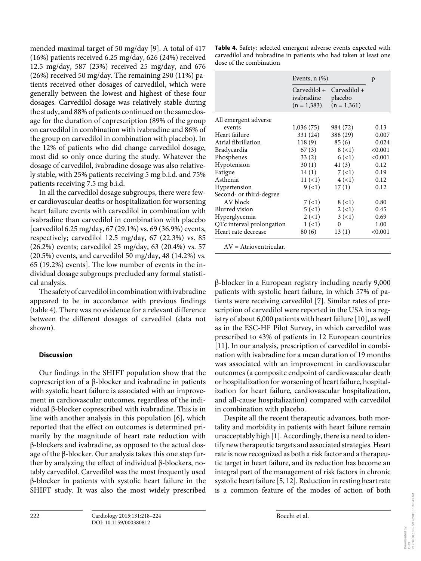mended maximal target of 50 mg/day [9]. A total of 417 (16%) patients received 6.25 mg/day, 626 (24%) received 12.5 mg/day, 587 (23%) received 25 mg/day, and 676 (26%) received 50 mg/day. The remaining 290 (11%) patients received other dosages of carvedilol, which were generally between the lowest and highest of these four dosages. Carvedilol dosage was relatively stable during the study, and 88% of patients continued on the same dosage for the duration of coprescription (89% of the group on carvedilol in combination with ivabradine and 86% of the group on carvedilol in combination with placebo). In the 12% of patients who did change carvedilol dosage, most did so only once during the study. Whatever the dosage of carvedilol, ivabradine dosage was also relatively stable, with 25% patients receiving 5 mg b.i.d. and 75% patients receiving 7.5 mg b.i.d.

 In all the carvedilol dosage subgroups, there were fewer cardiovascular deaths or hospitalization for worsening heart failure events with carvedilol in combination with ivabradine than carvedilol in combination with placebo [carvedilol 6.25 mg/day, 67 (29.1%) vs. 69 (36.9%) events, respectively; carvedilol 12.5 mg/day, 67 (22.3%) vs. 85 (26.2%) events; carvedilol 25 mg/day, 63 (20.4%) vs. 57 (20.5%) events, and carvedilol 50 mg/day, 48 (14.2%) vs. 65 (19.2%) events]. The low number of events in the individual dosage subgroups precluded any formal statistical analysis.

 The safety of carvedilol in combination with ivabradine appeared to be in accordance with previous findings (table 4). There was no evidence for a relevant difference between the different dosages of carvedilol (data not shown).

# **Discussion**

 Our findings in the SHIFT population show that the coprescription of a β-blocker and ivabradine in patients with systolic heart failure is associated with an improvement in cardiovascular outcomes, regardless of the individual β-blocker coprescribed with ivabradine. This is in line with another analysis in this population  $[6]$ , which reported that the effect on outcomes is determined primarily by the magnitude of heart rate reduction with β-blockers and ivabradine, as opposed to the actual dosage of the β-blocker. Our analysis takes this one step further by analyzing the effect of individual β-blockers, notably carvedilol. Carvedilol was the most frequently used β-blocker in patients with systolic heart failure in the SHIFT study. It was also the most widely prescribed

| Table 4. Safety: selected emergent adverse events expected with  |
|------------------------------------------------------------------|
| carvedilol and ivabradine in patients who had taken at least one |
| dose of the combination                                          |

|                           | Events, $n$ $(\%)$          | p                                                       |         |
|---------------------------|-----------------------------|---------------------------------------------------------|---------|
|                           | ivabradine<br>$(n = 1,383)$ | $Carvedilol + Carvedilol +$<br>placebo<br>$(n = 1,361)$ |         |
| All emergent adverse      |                             |                                                         |         |
| events                    | 1,036(75)                   | 984 (72)                                                | 0.13    |
| Heart failure             | 331 (24)                    | 388 (29)                                                | 0.007   |
| Atrial fibrillation       | 118(9)                      | 85(6)                                                   | 0.024   |
| Bradycardia               | 67(3)                       | 8(1)                                                    | < 0.001 |
| Phosphenes                | 33(2)                       | 6(1)                                                    | < 0.001 |
| Hypotension               | 30(1)                       | 41(3)                                                   | 0.12    |
| Fatigue                   | 14(1)                       | 7(1)                                                    | 0.19    |
| Asthenia                  | 11(1)                       | $4 \,(<)1$                                              | 0.12    |
| Hypertension              | 9(1)                        | 17(1)                                                   | 0.12    |
| Second- or third-degree   |                             |                                                         |         |
| AV block                  | 7(1)                        | 8(<1)                                                   | 0.80    |
| Blurred vision            | 5(1)                        | 2(1)                                                    | 0.45    |
| Hyperglycemia             | 2(1)                        | 3(1)                                                    | 0.69    |
| QTc interval prolongation | 1(1)                        | $\boldsymbol{0}$                                        | 1.00    |
| Heart rate decrease       | 80(6)                       | 13(1)                                                   | < 0.001 |
| AV = Atrioventricular.    |                             |                                                         |         |

β-blocker in a European registry including nearly 9,000 patients with systolic heart failure, in which 57% of patients were receiving carvedilol [7]. Similar rates of prescription of carvedilol were reported in the USA in a registry of about 6,000 patients with heart failure [10], as well as in the ESC-HF Pilot Survey, in which carvedilol was prescribed to 43% of patients in 12 European countries [11]. In our analysis, prescription of carvedilol in combination with ivabradine for a mean duration of 19 months was associated with an improvement in cardiovascular outcomes (a composite endpoint of cardiovascular death or hospitalization for worsening of heart failure, hospitalization for heart failure, cardiovascular hospitalization, and all-cause hospitalization) compared with carvedilol in combination with placebo.

 Despite all the recent therapeutic advances, both mortality and morbidity in patients with heart failure remain unacceptably high [1] . Accordingly, there is a need to identify new therapeutic targets and associated strategies. Heart rate is now recognized as both a risk factor and a therapeutic target in heart failure, and its reduction has become an integral part of the management of risk factors in chronic systolic heart failure [5, 12] . Reduction in resting heart rate is a common feature of the modes of action of both

Downloaded by: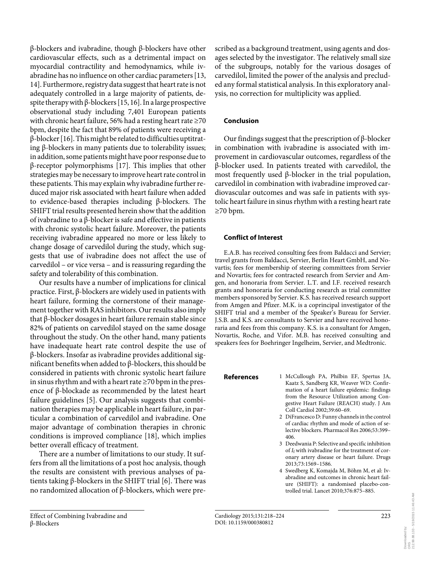β-blockers and ivabradine, though β-blockers have other cardiovascular effects, such as a detrimental impact on myocardial contractility and hemodynamics, while ivabradine has no influence on other cardiac parameters [13, 14] . Furthermore, registry data suggest that heart rate is not adequately controlled in a large majority of patients, despite therapy with  $\beta$ -blockers [15, 16]. In a large prospective observational study including 7,401 European patients with chronic heart failure, 56% had a resting heart rate  $\geq 70$ bpm, despite the fact that 89% of patients were receiving a  $β$ -blocker [16]. This might be related to difficulties uptitrating β-blockers in many patients due to tolerability issues; in addition, some patients might have poor response due to  $β$ -receptor polymorphisms [17]. This implies that other strategies may be necessary to improve heart rate control in these patients. This may explain why ivabradine further reduced major risk associated with heart failure when added to evidence-based therapies including β-blockers. The SHIFT trial results presented herein show that the addition of ivabradine to a β-blocker is safe and effective in patients with chronic systolic heart failure. Moreover, the patients receiving ivabradine appeared no more or less likely to change dosage of carvedilol during the study, which suggests that use of ivabradine does not affect the use of carvedilol – or vice versa – and is reassuring regarding the safety and tolerability of this combination.

 Our results have a number of implications for clinical practice. First, β-blockers are widely used in patients with heart failure, forming the cornerstone of their management together with RAS inhibitors. Our results also imply that β-blocker dosages in heart failure remain stable since 82% of patients on carvedilol stayed on the same dosage throughout the study. On the other hand, many patients have inadequate heart rate control despite the use of β-blockers. Insofar as ivabradine provides additional significant benefits when added to β-blockers, this should be considered in patients with chronic systolic heart failure in sinus rhythm and with a heart rate  $\geq$ 70 bpm in the presence of β-blockade as recommended by the latest heart failure guidelines [5]. Our analysis suggests that combination therapies may be applicable in heart failure, in particular a combination of carvedilol and ivabradine. One major advantage of combination therapies in chronic conditions is improved compliance [18], which implies better overall efficacy of treatment.

 There are a number of limitations to our study. It suffers from all the limitations of a post hoc analysis, though the results are consistent with previous analyses of patients taking  $β$ -blockers in the SHIFT trial [6]. There was no randomized allocation of β-blockers, which were prescribed as a background treatment, using agents and dosages selected by the investigator. The relatively small size of the subgroups, notably for the various dosages of carvedilol, limited the power of the analysis and precluded any formal statistical analysis. In this exploratory analysis, no correction for multiplicity was applied.

# **Conclusion**

 Our findings suggest that the prescription of β-blocker in combination with ivabradine is associated with improvement in cardiovascular outcomes, regardless of the β-blocker used. In patients treated with carvedilol, the most frequently used β-blocker in the trial population, carvedilol in combination with ivabradine improved cardiovascular outcomes and was safe in patients with systolic heart failure in sinus rhythm with a resting heart rate ≥ 70 bpm.

### **Conflict of Interest**

 E.A.B. has received consulting fees from Baldacci and Servier; travel grants from Baldacci, Servier, Berlin Heart GmbH, and Novartis; fees for membership of steering committees from Servier and Novartis; fees for contracted research from Servier and Amgen, and honoraria from Servier. L.T. and I.F. received research grants and honoraria for conducting research as trial committee members sponsored by Servier. K.S. has received research support from Amgen and Pfizer. M.K. is a coprincipal investigator of the SHIFT trial and a member of the Speaker's Bureau for Servier. J.S.B. and K.S. are consultants to Servier and have received honoraria and fees from this company. K.S. is a consultant for Amgen, Novartis, Roche, and Vifor. M.B. has received consulting and speakers fees for Boehringer Ingelheim, Servier, and Medtronic.

- **References** 1 McCullough PA, Philbin EF, Spertus JA, Kaatz S, Sandberg KR, Weaver WD: Confirmation of a heart failure epidemic: findings from the Resource Utilization among Congestive Heart Failure (REACH) study. J Am Coll Cardiol 2002;39:60–69.
	- 2 DiFrancesco D: Funny channels in the control of cardiac rhythm and mode of action of selective blockers. Pharmacol Res 2006;53:399– 406.
	- 3 Deedwania P: Selective and specific inhibition of *I*<sub>f</sub> with ivabradine for the treatment of coronary artery disease or heart failure. Drugs 2013;73:1569–1586.
	- 4 Swedberg K, Komajda M, Böhm M, et al: Ivabradine and outcomes in chronic heart failure (SHIFT): a randomised placebo-controlled trial. Lancet 2010;376:875–885.

Downloaded by:

aded by: